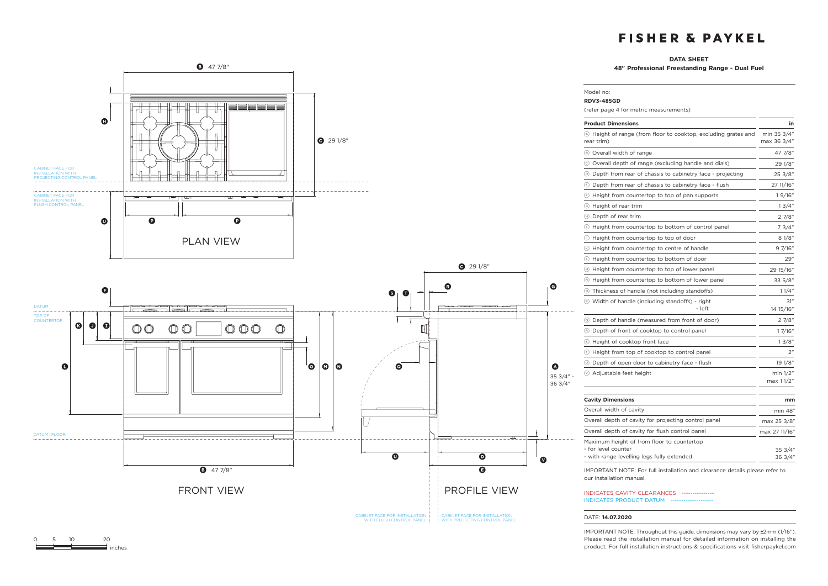### **DATA SHEET**

Model no: **RDV3-485GD**

**48" Professional Freestanding Range - Dual Fuel**



| (refer page 4 for metric measurements)                                                                          |                            |
|-----------------------------------------------------------------------------------------------------------------|----------------------------|
| <b>Product Dimensions</b>                                                                                       | in                         |
| ⊙ Height of range (from floor to cooktop, excluding grates and<br>rear trim)                                    | min 35 3/4"<br>max 36 3/4" |
| 8 Overall width of range                                                                                        | 47 7/8"                    |
| © Overall depth of range (excluding handle and dials)                                                           | 29 1/8"                    |
| 10 Depth from rear of chassis to cabinetry face - projecting                                                    | 25 3/8"                    |
| ⑤ Depth from rear of chassis to cabinetry face - flush                                                          | 27 11/16"                  |
| $\odot$ Height from countertop to top of pan supports                                                           | 19/16"                     |
| 5 Height of rear trim                                                                                           | 13/4"                      |
| (ii) Depth of rear trim                                                                                         | 2 7/8"                     |
| (1) Height from countertop to bottom of control panel                                                           | 7 3/4"                     |
| $\circledcirc$ Height from countertop to top of door                                                            | 81/8"                      |
| (6) Height from countertop to centre of handle                                                                  | 9 7/16"                    |
| $\mathrel{\mathbb{C}}$ Height from countertop to bottom of door                                                 | 29"                        |
| ⊙ Height from countertop to top of lower panel                                                                  | 29 15/16"                  |
| If Height from countertop to bottom of lower panel                                                              | $33\frac{5}{8}$ "          |
| 15 Thickness of handle (not including standoffs)                                                                | 11/4"                      |
| <b>E</b> Width of handle (including standoffs) - right<br>- left                                                | 31"<br>14 15/16"           |
| © Depth of handle (measured from front of door)                                                                 | 27/8"                      |
| (R) Depth of front of cooktop to control panel                                                                  | 1 7/16"                    |
| S Height of cooktop front face                                                                                  | 13/8"                      |
| 1 Height from top of cooktop to control panel                                                                   | 2"                         |
| 10 Depth of open door to cabinetry face - flush                                                                 | 19 1/8"                    |
| $\circledcirc$ Adjustable feet height                                                                           | min 1/2"<br>max 1 1/2"     |
| <b>Cavity Dimensions</b>                                                                                        | mm                         |
| Overall width of cavity                                                                                         | min 48"                    |
| Overall depth of cavity for projecting control panel                                                            | max 25 3/8"                |
| Overall depth of cavity for flush control panel                                                                 | max 27 11/16"              |
| Maximum height of from floor to countertop<br>- for level counter<br>- with range levelling legs fully extended | 35 3/4"<br>36 3/4"         |
| IMPORTANT NOTE: For full installation and clearance details please refer to                                     |                            |

our installation manual.

INDICATES CAVITY CLEARANCES --------------- INDICATES PRODUCT DATUM --

### DATE: **14.07.2020**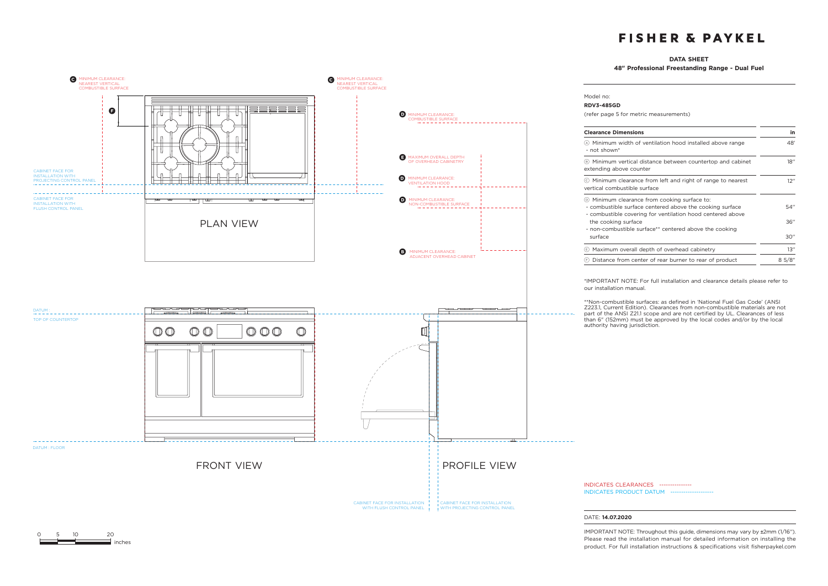### **DATA SHEET**

**48" Professional Freestanding Range - Dual Fuel** 



0 5 10 20

 $\equiv$  inches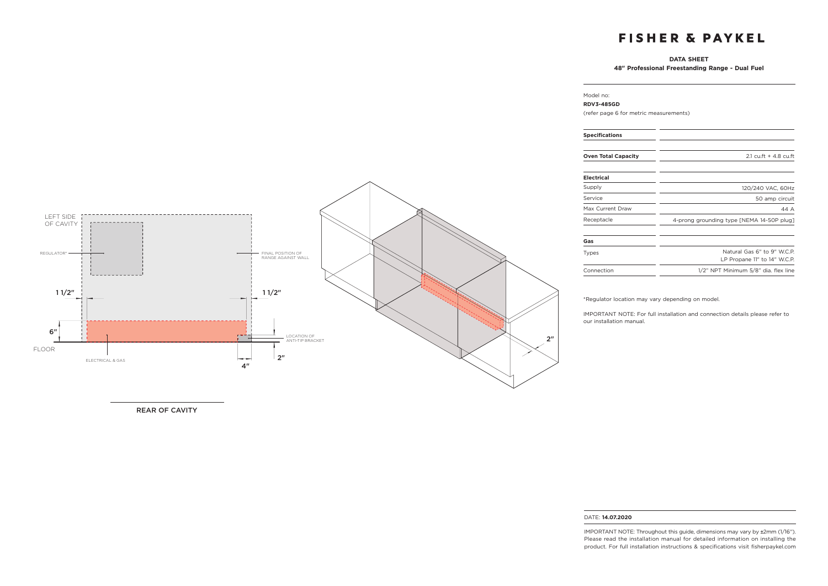### **DATA SHEET**

**48" Professional Freestanding Range - Dual Fuel**

### LEFT SIDE OF CAVITY REGULATOR\* FINAL POSITION OF RANGE AGAINST WALL <u> 1. . . . . . . . . . . . . .</u>  $11/2$ " is a set of the set of the set of the set of the set of the set of the set of the set of the set of the set of the set of the set of the set of the set of the set of the set of the set of the set of the set of the 6" ГT - 1 2"LOCATION OF ANTI-TIP BRACKET FLOOR  $2"$ سيمين المتوقف ELECTRICAL & GAS 4"

REAR OF CAVITY

#### Model no: **RDV3-485GD**

(refer page 6 for metric measurements)

| $2.1 \text{ c}$ u.ft + 4.8 cu.ft                            |
|-------------------------------------------------------------|
|                                                             |
| 120/240 VAC, 60Hz                                           |
| 50 amp circuit                                              |
| 44 A                                                        |
| 4-prong grounding type [NEMA 14-50P plug]                   |
|                                                             |
| Natural Gas 6" to 9" W.C.P.<br>LP Propane 11" to 14" W.C.P. |
| 1/2" NPT Minimum 5/8" dia. flex line                        |
|                                                             |

\*Regulator location may vary depending on model.

IMPORTANT NOTE: For full installation and connection details please refer to our installation manual.

#### DATE: **14.07.2020**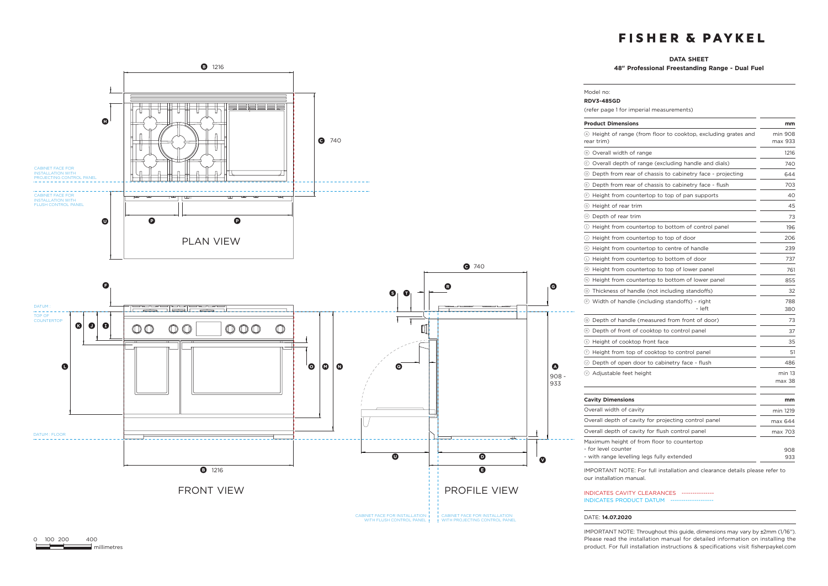### **DATA SHEET**

Model no: **RDV3-485GD**

**48" Professional Freestanding Range - Dual Fuel**



| (refer page 1 for imperial measurements)                                                                        |                    |
|-----------------------------------------------------------------------------------------------------------------|--------------------|
| <b>Product Dimensions</b>                                                                                       | mm                 |
| (A) Height of range (from floor to cooktop, excluding grates and<br>rear trim)                                  | min 908<br>max 933 |
| (B) Overall width of range                                                                                      | 1216               |
| © Overall depth of range (excluding handle and dials)                                                           | 740                |
| ◎ Depth from rear of chassis to cabinetry face - projecting                                                     | 644                |
| Depth from rear of chassis to cabinetry face - flush                                                            | 703                |
| Height from countertop to top of pan supports<br>(F)                                                            | 40                 |
| ⊙ Height of rear trim                                                                                           | 45                 |
| (h) Depth of rear trim                                                                                          | 73                 |
| Height from countertop to bottom of control panel<br>$\left(1\right)$                                           | 196                |
| 1 Height from countertop to top of door                                                                         | 206                |
| (6) Height from countertop to centre of handle                                                                  | 239                |
| $\circlearrowright$ Height from countertop to bottom of door                                                    | 737                |
| (•) Height from countertop to top of lower panel                                                                | 761                |
| (b) Height from countertop to bottom of lower panel                                                             | 855                |
| (o) Thickness of handle (not including standoffs)                                                               | 32                 |
| <b>E</b> Width of handle (including standoffs) - right<br>- left                                                | 788<br>380         |
| Depth of handle (measured from front of door)<br>$\circ$                                                        | 73                 |
| (R) Depth of front of cooktop to control panel                                                                  | 37                 |
| S Height of cooktop front face                                                                                  | 35                 |
| Height from top of cooktop to control panel<br>$(\tau)$                                                         | 51                 |
| 10 Depth of open door to cabinetry face - flush                                                                 | 486                |
| (v) Adjustable feet height                                                                                      | min 13<br>max 38   |
| <b>Cavity Dimensions</b>                                                                                        | mm                 |
| Overall width of cavity                                                                                         | min 1219           |
| Overall depth of cavity for projecting control panel                                                            | max 644            |
| Overall depth of cavity for flush control panel                                                                 | max 703            |
| Maximum height of from floor to countertop<br>- for level counter<br>- with range levelling legs fully extended | 908<br>933         |

IMPORTANT NOTE: For full installation and clearance details please refer to our installation manual.

INDICATES CAVITY CLEARANCES --------------- INDICATES PRODUCT DATUM --

#### DATE: **14.07.2020**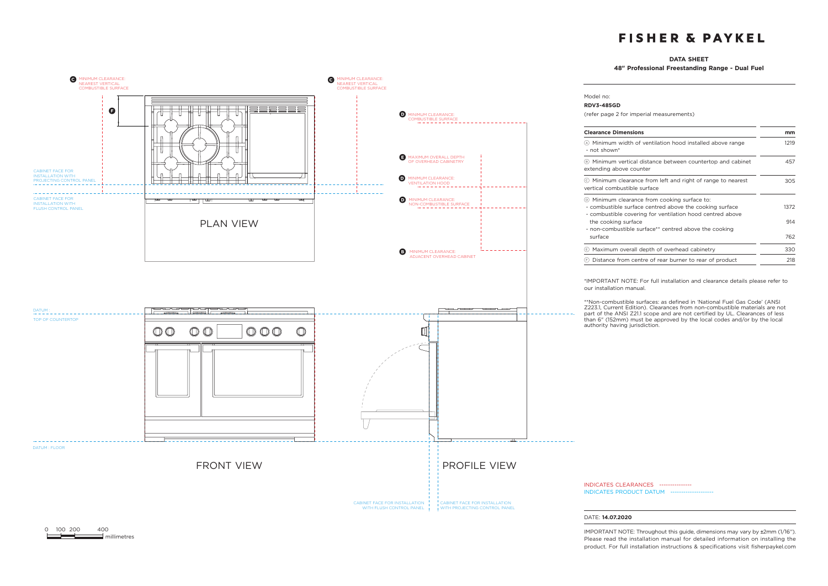### **DATA SHEET**

**48" Professional Freestanding Range - Dual Fuel**



0 100 200 400  $\equiv$  millimetres